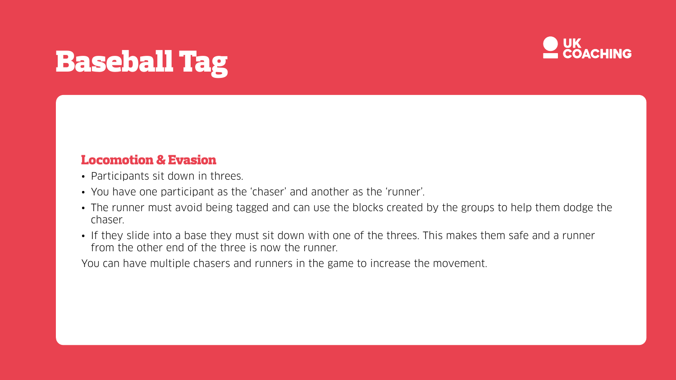# Baseball Tag

## Locomotion & Evasion

- Participants sit down in threes.
- You have one participant as the 'chaser' and another as the 'runner'.
- The runner must avoid being tagged and can use the blocks created by the groups to help them dodge the chaser.
- If they slide into a base they must sit down with one of the threes. This makes them safe and a runner from the other end of the three is now the runner.

You can have multiple chasers and runners in the game to increase the movement.

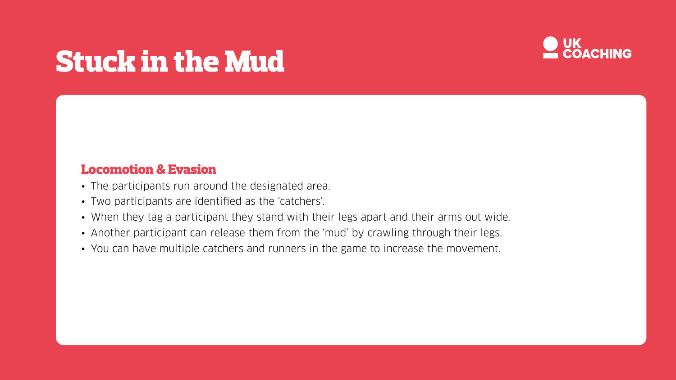# Stuck in the Mud

## Locomotion & Evasion

- The participants run around the designated area.
- Two participants are identified as the 'catchers'.
- When they tag a participant they stand with their legs apart and their arms out wide.
- Another participant can release them from the 'mud' by crawling through their legs.
- You can have multiple catchers and runners in the game to increase the movement.

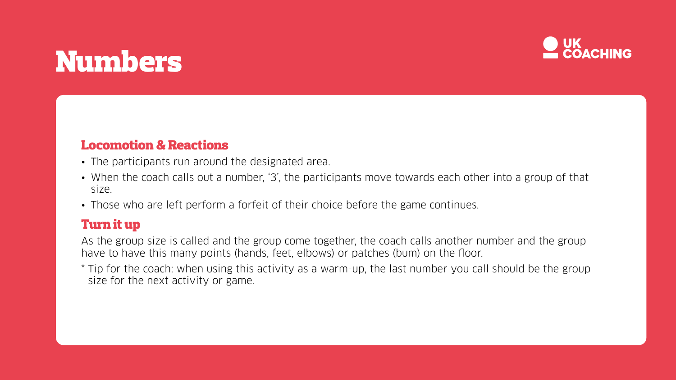# Numbers

## Locomotion & Reactions

- The participants run around the designated area.
- When the coach calls out a number, '3', the participants move towards each other into a group of that size.
- Those who are left perform a forfeit of their choice before the game continues.

## Turn it up

As the group size is called and the group come together, the coach calls another number and the group have to have this many points (hands, feet, elbows) or patches (bum) on the floor. \* Tip for the coach: when using this activity as a warm-up, the last number you call should be the group size for the next activity or game.

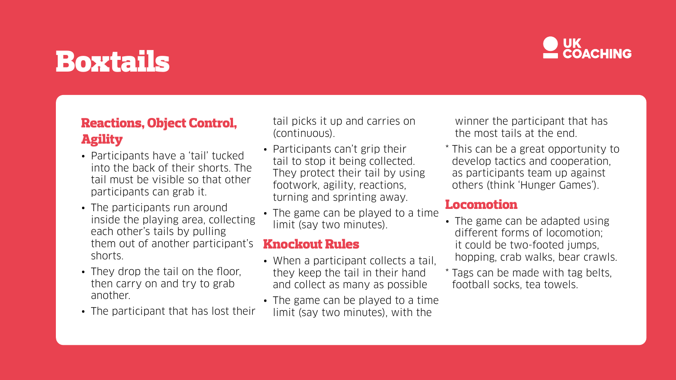# Boxtails

# Reactions, Object Control, Agility

- Participants have a 'tail' tucked into the back of their shorts. The tail must be visible so that other participants can grab it.
- The participants run around inside the playing area, collecting each other's tails by pulling them out of another participant's shorts.
- They drop the tail on the floor, then carry on and try to grab another.
- The participant that has lost their
- When a participant collects a tail, they keep the tail in their hand and collect as many as possible
- The game can be played to a time limit (say two minutes), with the
- 
- 
- 

tail picks it up and carries on (continuous).

- Participants can't grip their tail to stop it being collected. They protect their tail by using footwork, agility, reactions, turning and sprinting away.
- The game can be played to a time limit (say two minutes).

## Knockout Rules

winner the participant that has the most tails at the end.

\* This can be a great opportunity to develop tactics and cooperation, as participants team up against others (think 'Hunger Games').

## Locomotion

- 
- 
- 



• The game can be adapted using different forms of locomotion; it could be two-footed jumps, hopping, crab walks, bear crawls.

\* Tags can be made with tag belts, football socks, tea towels.